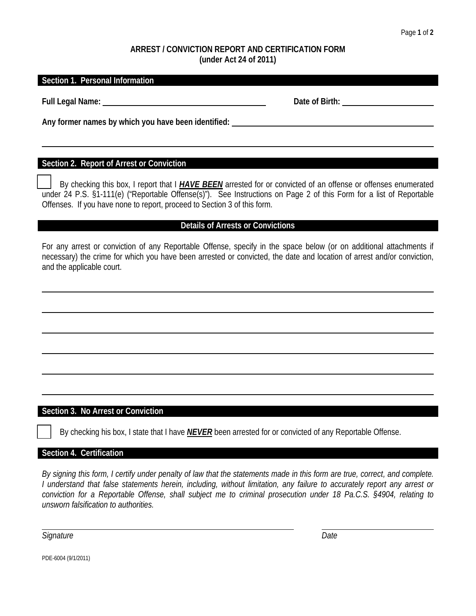#### **ARREST / CONVICTION REPORT AND CERTIFICATION FORM (under Act 24 of 2011)**

#### **Section 1. Personal Information**

**Full Legal Name:** <u>Date of Birth:</u> **Date of Birth: Date of Birth: Date of Birth: Date of Birth: Date of Birth: Date of Birth: Date of Birth: Date of Birth: Date of Birth: Date of Birth: Date of Birth:** 

**Any former names by which you have been identified:** 

### **Section 2. Report of Arrest or Conviction**

By checking this box, I report that I *HAVE BEEN* arrested for or convicted of an offense or offenses enumerated under 24 P.S. §1-111(e) ("Reportable Offense(s)"). See Instructions on Page 2 of this Form for a list of Reportable Offenses. If you have none to report, proceed to Section 3 of this form.

#### **Details of Arrests or Convictions**

For any arrest or conviction of any Reportable Offense, specify in the space below (or on additional attachments if necessary) the crime for which you have been arrested or convicted, the date and location of arrest and/or conviction, and the applicable court.

#### **Section 3. No Arrest or Conviction**

By checking his box, I state that I have *NEVER* been arrested for or convicted of any Reportable Offense.

#### **Section 4. Certification**

*By signing this form, I certify under penalty of law that the statements made in this form are true, correct, and complete. I understand that false statements herein, including, without limitation, any failure to accurately report any arrest or conviction for a Reportable Offense, shall subject me to criminal prosecution under 18 Pa.C.S. §4904, relating to unsworn falsification to authorities.*

*Signature Date*

PDE-6004 (9/1/2011)